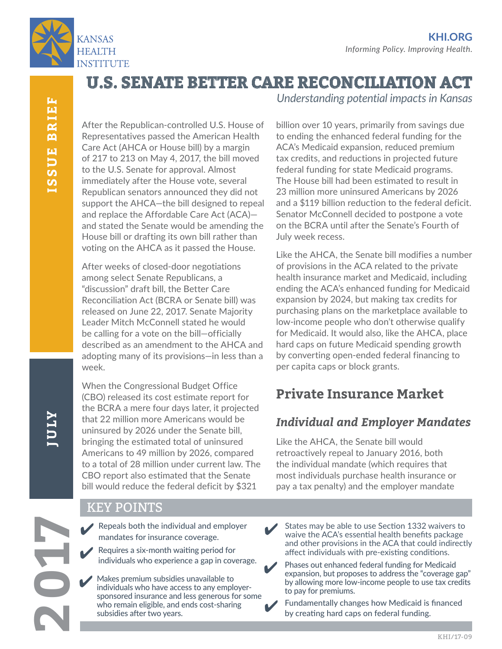

**U.S. SENATE BETTER CARE RECONCILIATION ACT**

After the Republican-controlled U.S. House of Representatives passed the American Health Care Act (AHCA or House bill) by a margin of 217 to 213 on May 4, 2017, the bill moved to the U.S. Senate for approval. Almost immediately after the House vote, several Republican senators announced they did not support the AHCA—the bill designed to repeal and replace the Affordable Care Act (ACA) and stated the Senate would be amending the House bill or drafting its own bill rather than voting on the AHCA as it passed the House.

After weeks of closed-door negotiations among select Senate Republicans, a "discussion" draft bill, the Better Care Reconciliation Act (BCRA or Senate bill) was released on June 22, 2017. Senate Majority Leader Mitch McConnell stated he would be calling for a vote on the bill—officially described as an amendment to the AHCA and adopting many of its provisions—in less than a week.

When the Congressional Budget Office (CBO) released its cost estimate report for the BCRA a mere four days later, it projected that 22 million more Americans would be uninsured by 2026 under the Senate bill, bringing the estimated total of uninsured Americans to 49 million by 2026, compared to a total of 28 million under current law. The CBO report also estimated that the Senate bill would reduce the federal deficit by \$321

billion over 10 years, primarily from savings due to ending the enhanced federal funding for the ACA's Medicaid expansion, reduced premium tax credits, and reductions in projected future federal funding for state Medicaid programs. The House bill had been estimated to result in 23 million more uninsured Americans by 2026 and a \$119 billion reduction to the federal deficit. Senator McConnell decided to postpone a vote on the BCRA until after the Senate's Fourth of July week recess.

*Understanding potential impacts in Kansas*

Like the AHCA, the Senate bill modifies a number of provisions in the ACA related to the private health insurance market and Medicaid, including ending the ACA's enhanced funding for Medicaid expansion by 2024, but making tax credits for purchasing plans on the marketplace available to low-income people who don't otherwise qualify for Medicaid. It would also, like the AHCA, place hard caps on future Medicaid spending growth by converting open-ended federal financing to per capita caps or block grants.

# **Private Insurance Market**

## *Individual and Employer Mandates*

Like the AHCA, the Senate bill would retroactively repeal to January 2016, both the individual mandate (which requires that most individuals purchase health insurance or pay a tax penalty) and the employer mandate

KEY POINTS

Repeals both the individual and employer mandates for insurance coverage. ✔

Requires a six-month waiting period for individuals who experience a gap in coverage.<br>
Phases out enhanced federal funding for Medicaid ✔

✔

Makes premium subsidies unavailable to individuals who have access to any employersponsored insurance and less generous for some who remain eligible, and ends cost-sharing subsidies after two years. ✔

States may be able to use Section 1332 waivers to waive the ACA's essential health benefits package and other provisions in the ACA that could indirectly affect individuals with pre-existing conditions. ✔

expansion, but proposes to address the "coverage gap" by allowing more low-income people to use tax credits to pay for premiums.

Fundamentally changes how Medicaid is financed by creating hard caps on federal funding. ✔

# **ATAI**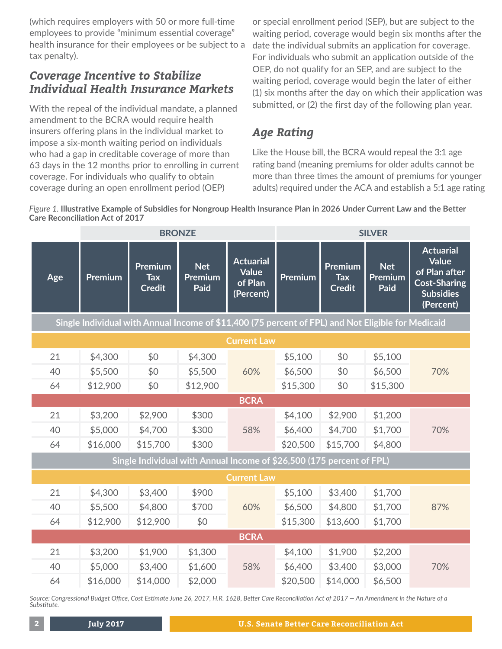(which requires employers with 50 or more full-time employees to provide "minimum essential coverage" health insurance for their employees or be subject to a tax penalty).

#### *Coverage Incentive to Stabilize Individual Health Insurance Markets*

With the repeal of the individual mandate, a planned amendment to the BCRA would require health insurers offering plans in the individual market to impose a six-month waiting period on individuals who had a gap in creditable coverage of more than 63 days in the 12 months prior to enrolling in current coverage. For individuals who qualify to obtain coverage during an open enrollment period (OEP)

or special enrollment period (SEP), but are subject to the waiting period, coverage would begin six months after the date the individual submits an application for coverage. For individuals who submit an application outside of the OEP, do not qualify for an SEP, and are subject to the waiting period, coverage would begin the later of either (1) six months after the day on which their application was submitted, or (2) the first day of the following plan year.

# *Age Rating*

Like the House bill, the BCRA would repeal the 3:1 age rating band (meaning premiums for older adults cannot be more than three times the amount of premiums for younger adults) required under the ACA and establish a 5:1 age rating

*Figure 1.* **Illustrative Example of Subsidies for Nongroup Health Insurance Plan in 2026 Under Current Law and the Better Care Reconciliation Act of 2017**

|                                                                                                    | <b>BRONZE</b> |                                        |                               | <b>SILVER</b>                                            |          |                                        |                               |                                                                                                           |
|----------------------------------------------------------------------------------------------------|---------------|----------------------------------------|-------------------------------|----------------------------------------------------------|----------|----------------------------------------|-------------------------------|-----------------------------------------------------------------------------------------------------------|
| Age                                                                                                | Premium       | Premium<br><b>Tax</b><br><b>Credit</b> | <b>Net</b><br>Premium<br>Paid | <b>Actuarial</b><br><b>Value</b><br>of Plan<br>(Percent) | Premium  | Premium<br><b>Tax</b><br><b>Credit</b> | <b>Net</b><br>Premium<br>Paid | <b>Actuarial</b><br><b>Value</b><br>of Plan after<br><b>Cost-Sharing</b><br><b>Subsidies</b><br>(Percent) |
| Single Individual with Annual Income of \$11,400 (75 percent of FPL) and Not Eligible for Medicaid |               |                                        |                               |                                                          |          |                                        |                               |                                                                                                           |
| <b>Current Law</b>                                                                                 |               |                                        |                               |                                                          |          |                                        |                               |                                                                                                           |
| 21                                                                                                 | \$4,300       | \$0                                    | \$4,300                       |                                                          | \$5,100  | \$0                                    | \$5,100                       |                                                                                                           |
| 40                                                                                                 | \$5,500       | \$0                                    | \$5,500                       | 60%                                                      | \$6,500  | \$0                                    | \$6,500                       | 70%                                                                                                       |
| 64                                                                                                 | \$12,900      | \$0                                    | \$12,900                      |                                                          | \$15,300 | \$0                                    | \$15,300                      |                                                                                                           |
|                                                                                                    |               |                                        |                               | <b>BCRA</b>                                              |          |                                        |                               |                                                                                                           |
| 21                                                                                                 | \$3,200       | \$2,900                                | \$300                         |                                                          | \$4,100  | \$2,900                                | \$1,200                       |                                                                                                           |
| 40                                                                                                 | \$5,000       | \$4,700                                | \$300                         | 58%                                                      | \$6,400  | \$4,700                                | \$1,700                       | 70%                                                                                                       |
| 64                                                                                                 | \$16,000      | \$15,700                               | \$300                         |                                                          | \$20,500 | \$15,700                               | \$4,800                       |                                                                                                           |
| Single Individual with Annual Income of \$26,500 (175 percent of FPL)                              |               |                                        |                               |                                                          |          |                                        |                               |                                                                                                           |
| <b>Current Law</b>                                                                                 |               |                                        |                               |                                                          |          |                                        |                               |                                                                                                           |
| 21                                                                                                 | \$4,300       | \$3,400                                | \$900                         |                                                          | \$5,100  | \$3,400                                | \$1,700                       |                                                                                                           |
| 40                                                                                                 | \$5,500       | \$4,800                                | \$700                         | 60%                                                      | \$6,500  | \$4,800                                | \$1,700                       | 87%                                                                                                       |
| 64                                                                                                 | \$12,900      | \$12,900                               | \$0                           |                                                          | \$15,300 | \$13,600                               | \$1,700                       |                                                                                                           |
| <b>BCRA</b>                                                                                        |               |                                        |                               |                                                          |          |                                        |                               |                                                                                                           |
| 21                                                                                                 | \$3,200       | \$1,900                                | \$1,300                       |                                                          | \$4,100  | \$1,900                                | \$2,200                       |                                                                                                           |
| 40                                                                                                 | \$5,000       | \$3,400                                | \$1,600                       | 58%                                                      | \$6,400  | \$3,400                                | \$3,000                       | 70%                                                                                                       |
| 64                                                                                                 | \$16,000      | \$14,000                               | \$2,000                       |                                                          | \$20,500 | \$14,000                               | \$6,500                       |                                                                                                           |

*Source: Congressional Budget Office, Cost Estimate June 26, 2017, H.R. 1628, Better Care Reconciliation Act of 2017 — An Amendment in the Nature of a Substitute.*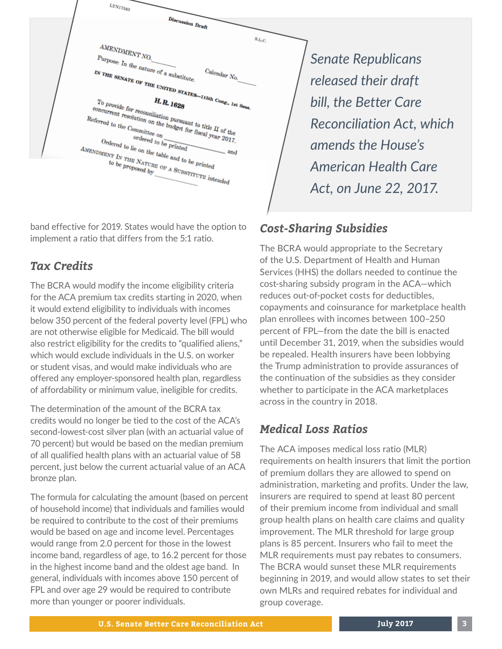| LYN17343                                                                                                                                                                                                                                                                                                                                                                                                                                                                                                                         |                                                                                                                                                                                               |
|----------------------------------------------------------------------------------------------------------------------------------------------------------------------------------------------------------------------------------------------------------------------------------------------------------------------------------------------------------------------------------------------------------------------------------------------------------------------------------------------------------------------------------|-----------------------------------------------------------------------------------------------------------------------------------------------------------------------------------------------|
| Discussion Draft<br>8 <sub>LC</sub><br>$\label{eq:ampl} \textit{AMENDMENT} \, \textit{NO}.$<br>Purpose: In the nature of a substitute.<br>$Calendar$ No.<br>IN THE SENATE OF THE UNITED STATES-115th Cong., 1st Sess.<br>To provide for reconciliation pursuant to title II of the<br>concurrent resolution on the budget for fiscal year 2017.<br>Referred to the Committee on<br>ordered to be printed<br>Ordered to lie on the table and to be printed<br>$A_{\small MENDMENT}$ IN THE NATURE OF A SUBSTITUTE intended<br>and | <b>Senate Republicans</b><br>released their draft<br>bill, the Better Care<br><b>Reconciliation Act, which</b><br>amends the House's<br><b>American Health Care</b><br>Act, on June 22, 2017. |

band effective for 2019. States would have the option to implement a ratio that differs from the 5:1 ratio.

### *Tax Credits*

The BCRA would modify the income eligibility criteria for the ACA premium tax credits starting in 2020, when it would extend eligibility to individuals with incomes below 350 percent of the federal poverty level (FPL) who are not otherwise eligible for Medicaid. The bill would also restrict eligibility for the credits to "qualified aliens," which would exclude individuals in the U.S. on worker or student visas, and would make individuals who are offered any employer-sponsored health plan, regardless of affordability or minimum value, ineligible for credits.

The determination of the amount of the BCRA tax credits would no longer be tied to the cost of the ACA's second-lowest-cost silver plan (with an actuarial value of 70 percent) but would be based on the median premium of all qualified health plans with an actuarial value of 58 percent, just below the current actuarial value of an ACA bronze plan.

The formula for calculating the amount (based on percent of household income) that individuals and families would be required to contribute to the cost of their premiums would be based on age and income level. Percentages would range from 2.0 percent for those in the lowest income band, regardless of age, to 16.2 percent for those in the highest income band and the oldest age band. In general, individuals with incomes above 150 percent of FPL and over age 29 would be required to contribute more than younger or poorer individuals.

# *Cost-Sharing Subsidies*

The BCRA would appropriate to the Secretary of the U.S. Department of Health and Human Services (HHS) the dollars needed to continue the cost-sharing subsidy program in the ACA—which reduces out-of-pocket costs for deductibles, copayments and coinsurance for marketplace health plan enrollees with incomes between 100–250 percent of FPL—from the date the bill is enacted until December 31, 2019, when the subsidies would be repealed. Health insurers have been lobbying the Trump administration to provide assurances of the continuation of the subsidies as they consider whether to participate in the ACA marketplaces across in the country in 2018.

#### *Medical Loss Ratios*

The ACA imposes medical loss ratio (MLR) requirements on health insurers that limit the portion of premium dollars they are allowed to spend on administration, marketing and profits. Under the law, insurers are required to spend at least 80 percent of their premium income from individual and small group health plans on health care claims and quality improvement. The MLR threshold for large group plans is 85 percent. Insurers who fail to meet the MLR requirements must pay rebates to consumers. The BCRA would sunset these MLR requirements beginning in 2019, and would allow states to set their own MLRs and required rebates for individual and group coverage.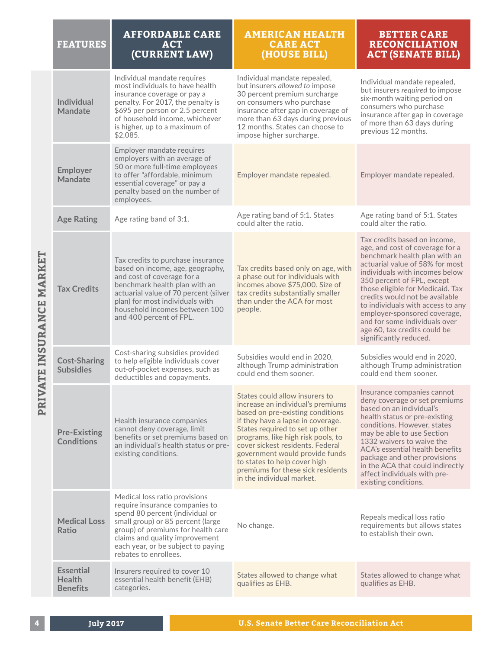| <b>FEATURES</b>                                      | <b>AFFORDABLE CARE</b><br><b>ACT</b><br>(CURRENT LAW)                                                                                                                                                                                                                          | <b>AMERICAN HEALTH</b><br><b>CARE ACT</b><br>(HOUSE BILL)                                                                                                                                                                                                                                                                                                                                     | <b>BETTER CARE</b><br><b>RECONCILIATION</b><br><b>ACT (SENATE BILL)</b>                                                                                                                                                                                                                                                                                                                                                                   |
|------------------------------------------------------|--------------------------------------------------------------------------------------------------------------------------------------------------------------------------------------------------------------------------------------------------------------------------------|-----------------------------------------------------------------------------------------------------------------------------------------------------------------------------------------------------------------------------------------------------------------------------------------------------------------------------------------------------------------------------------------------|-------------------------------------------------------------------------------------------------------------------------------------------------------------------------------------------------------------------------------------------------------------------------------------------------------------------------------------------------------------------------------------------------------------------------------------------|
| <b>Individual</b><br><b>Mandate</b>                  | Individual mandate requires<br>most individuals to have health<br>insurance coverage or pay a<br>penalty. For 2017, the penalty is<br>\$695 per person or 2.5 percent<br>of household income, whichever<br>is higher, up to a maximum of<br>\$2,085.                           | Individual mandate repealed,<br>but insurers allowed to impose<br>30 percent premium surcharge<br>on consumers who purchase<br>insurance after gap in coverage of<br>more than 63 days during previous<br>12 months. States can choose to<br>impose higher surcharge.                                                                                                                         | Individual mandate repealed,<br>but insurers required to impose<br>six-month waiting period on<br>consumers who purchase<br>insurance after gap in coverage<br>of more than 63 days during<br>previous 12 months.                                                                                                                                                                                                                         |
| <b>Employer</b><br><b>Mandate</b>                    | Employer mandate requires<br>employers with an average of<br>50 or more full-time employees<br>to offer "affordable, minimum<br>essential coverage" or pay a<br>penalty based on the number of<br>employees.                                                                   | Employer mandate repealed.                                                                                                                                                                                                                                                                                                                                                                    | Employer mandate repealed.                                                                                                                                                                                                                                                                                                                                                                                                                |
| <b>Age Rating</b>                                    | Age rating band of 3:1.                                                                                                                                                                                                                                                        | Age rating band of 5:1. States<br>could alter the ratio.                                                                                                                                                                                                                                                                                                                                      | Age rating band of 5:1. States<br>could alter the ratio.                                                                                                                                                                                                                                                                                                                                                                                  |
| <b>Tax Credits</b>                                   | Tax credits to purchase insurance<br>based on income, age, geography,<br>and cost of coverage for a<br>benchmark health plan with an<br>actuarial value of 70 percent (silver<br>plan) for most individuals with<br>household incomes between 100<br>and 400 percent of FPL.   | Tax credits based only on age, with<br>a phase out for individuals with<br>incomes above \$75,000. Size of<br>tax credits substantially smaller<br>than under the ACA for most<br>people.                                                                                                                                                                                                     | Tax credits based on income,<br>age, and cost of coverage for a<br>benchmark health plan with an<br>actuarial value of 58% for most<br>individuals with incomes below<br>350 percent of FPL, except<br>those eligible for Medicaid. Tax<br>credits would not be available<br>to individuals with access to any<br>employer-sponsored coverage,<br>and for some individuals over<br>age 60, tax credits could be<br>significantly reduced. |
| <b>Cost-Sharing</b><br><b>Subsidies</b>              | Cost-sharing subsidies provided<br>to help eligible individuals cover<br>out-of-pocket expenses, such as<br>deductibles and copayments.                                                                                                                                        | Subsidies would end in 2020,<br>although Trump administration<br>could end them sooner.                                                                                                                                                                                                                                                                                                       | Subsidies would end in 2020,<br>although Trump administration<br>could end them sooner.                                                                                                                                                                                                                                                                                                                                                   |
| <b>Pre-Existing</b><br><b>Conditions</b>             | Health insurance companies<br>cannot deny coverage, limit<br>benefits or set premiums based on<br>an individual's health status or pre-<br>existing conditions.                                                                                                                | States could allow insurers to<br>increase an individual's premiums<br>based on pre-existing conditions<br>if they have a lapse in coverage.<br>States required to set up other<br>programs, like high risk pools, to<br>cover sickest residents. Federal<br>government would provide funds<br>to states to help cover high<br>premiums for these sick residents<br>in the individual market. | Insurance companies cannot<br>deny coverage or set premiums<br>based on an individual's<br>health status or pre-existing<br>conditions. However, states<br>may be able to use Section<br>1332 waivers to waive the<br>ACA's essential health benefits<br>package and other provisions<br>in the ACA that could indirectly<br>affect individuals with pre-<br>existing conditions.                                                         |
| <b>Medical Loss</b><br>Ratio                         | Medical loss ratio provisions<br>require insurance companies to<br>spend 80 percent (individual or<br>small group) or 85 percent (large<br>group) of premiums for health care<br>claims and quality improvement<br>each year, or be subject to paying<br>rebates to enrollees. | No change.                                                                                                                                                                                                                                                                                                                                                                                    | Repeals medical loss ratio<br>requirements but allows states<br>to establish their own.                                                                                                                                                                                                                                                                                                                                                   |
| <b>Essential</b><br><b>Health</b><br><b>Benefits</b> | Insurers required to cover 10<br>essential health benefit (EHB)<br>categories.                                                                                                                                                                                                 | States allowed to change what<br>qualifies as EHB.                                                                                                                                                                                                                                                                                                                                            | States allowed to change what<br>qualifies as EHB.                                                                                                                                                                                                                                                                                                                                                                                        |

PRIVATE INSURANCE MARKET **PRIVATE INSURANCE MARKET**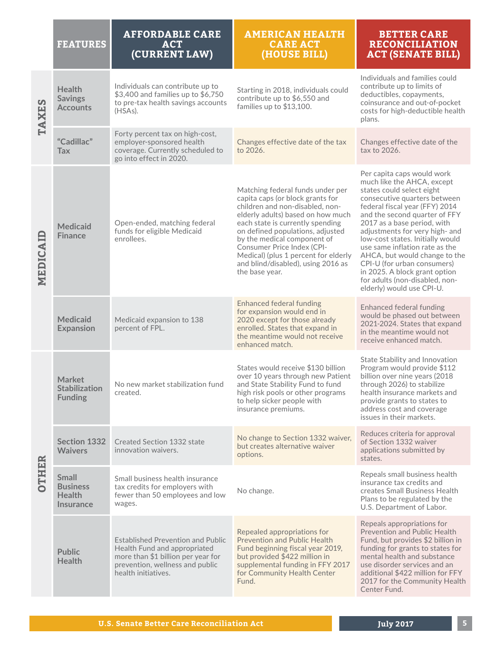|              | <b>FEATURES</b>                                                      | <b>AFFORDABLE CARE</b><br><b>ACT</b><br>(CURRENT LAW)                                                                                                                    | <b>AMERICAN HEALTH</b><br><b>CARE ACT</b><br>(HOUSE BILL)                                                                                                                                                                                                                                                                                                                         | <b>BETTER CARE</b><br><b>RECONCILIATION</b><br><b>ACT (SENATE BILL)</b>                                                                                                                                                                                                                                                                                                                                                                                                                         |
|--------------|----------------------------------------------------------------------|--------------------------------------------------------------------------------------------------------------------------------------------------------------------------|-----------------------------------------------------------------------------------------------------------------------------------------------------------------------------------------------------------------------------------------------------------------------------------------------------------------------------------------------------------------------------------|-------------------------------------------------------------------------------------------------------------------------------------------------------------------------------------------------------------------------------------------------------------------------------------------------------------------------------------------------------------------------------------------------------------------------------------------------------------------------------------------------|
| <b>TAXES</b> | <b>Health</b><br><b>Savings</b><br><b>Accounts</b>                   | Individuals can contribute up to<br>\$3,400 and families up to \$6,750<br>to pre-tax health savings accounts<br>(HSAs).                                                  | Starting in 2018, individuals could<br>contribute up to \$6,550 and<br>families up to \$13,100.                                                                                                                                                                                                                                                                                   | Individuals and families could<br>contribute up to limits of<br>deductibles, copayments,<br>coinsurance and out-of-pocket<br>costs for high-deductible health<br>plans.                                                                                                                                                                                                                                                                                                                         |
|              | "Cadillac"<br><b>Tax</b>                                             | Forty percent tax on high-cost,<br>employer-sponsored health<br>coverage. Currently scheduled to<br>go into effect in 2020.                                              | Changes effective date of the tax<br>to 2026.                                                                                                                                                                                                                                                                                                                                     | Changes effective date of the<br>tax to 2026.                                                                                                                                                                                                                                                                                                                                                                                                                                                   |
| MEDICAID     | <b>Medicaid</b><br><b>Finance</b>                                    | Open-ended, matching federal<br>funds for eligible Medicaid<br>enrollees.                                                                                                | Matching federal funds under per<br>capita caps (or block grants for<br>children and non-disabled, non-<br>elderly adults) based on how much<br>each state is currently spending<br>on defined populations, adjusted<br>by the medical component of<br>Consumer Price Index (CPI-<br>Medical) (plus 1 percent for elderly<br>and blind/disabled), using 2016 as<br>the base year. | Per capita caps would work<br>much like the AHCA, except<br>states could select eight<br>consecutive quarters between<br>federal fiscal year (FFY) 2014<br>and the second quarter of FFY<br>2017 as a base period, with<br>adjustments for very high- and<br>low-cost states. Initially would<br>use same inflation rate as the<br>AHCA, but would change to the<br>CPI-U (for urban consumers)<br>in 2025. A block grant option<br>for adults (non-disabled, non-<br>elderly) would use CPI-U. |
|              | <b>Medicaid</b><br><b>Expansion</b>                                  | Medicaid expansion to 138<br>percent of FPL.                                                                                                                             | <b>Enhanced federal funding</b><br>for expansion would end in<br>2020 except for those already<br>enrolled. States that expand in<br>the meantime would not receive<br>enhanced match.                                                                                                                                                                                            | <b>Enhanced federal funding</b><br>would be phased out between<br>2021-2024. States that expand<br>in the meantime would not<br>receive enhanced match.                                                                                                                                                                                                                                                                                                                                         |
| <b>OTHER</b> | <b>Market</b><br><b>Stabilization</b><br><b>Funding</b>              | No new market stabilization fund<br>created.                                                                                                                             | States would receive \$130 billion<br>over 10 years through new Patient<br>and State Stability Fund to fund<br>high risk pools or other programs<br>to help sicker people with<br>insurance premiums.                                                                                                                                                                             | State Stability and Innovation<br>Program would provide \$112<br>billion over nine years (2018<br>through 2026) to stabilize<br>health insurance markets and<br>provide grants to states to<br>address cost and coverage<br>issues in their markets.                                                                                                                                                                                                                                            |
|              | <b>Section 1332</b><br><b>Waivers</b>                                | Created Section 1332 state<br>innovation waivers.                                                                                                                        | No change to Section 1332 waiver,<br>but creates alternative waiver<br>options.                                                                                                                                                                                                                                                                                                   | Reduces criteria for approval<br>of Section 1332 waiver<br>applications submitted by<br>states.                                                                                                                                                                                                                                                                                                                                                                                                 |
|              | <b>Small</b><br><b>Business</b><br><b>Health</b><br><b>Insurance</b> | Small business health insurance<br>tax credits for employers with<br>fewer than 50 employees and low<br>wages.                                                           | No change.                                                                                                                                                                                                                                                                                                                                                                        | Repeals small business health<br>insurance tax credits and<br>creates Small Business Health<br>Plans to be regulated by the<br>U.S. Department of Labor.                                                                                                                                                                                                                                                                                                                                        |
|              | <b>Public</b><br><b>Health</b>                                       | <b>Established Prevention and Public</b><br>Health Fund and appropriated<br>more than \$1 billion per year for<br>prevention, wellness and public<br>health initiatives. | Repealed appropriations for<br><b>Prevention and Public Health</b><br>Fund beginning fiscal year 2019,<br>but provided \$422 million in<br>supplemental funding in FFY 2017<br>for Community Health Center<br>Fund.                                                                                                                                                               | Repeals appropriations for<br>Prevention and Public Health<br>Fund, but provides \$2 billion in<br>funding for grants to states for<br>mental health and substance<br>use disorder services and an<br>additional \$422 million for FFY<br>2017 for the Community Health<br>Center Fund.                                                                                                                                                                                                         |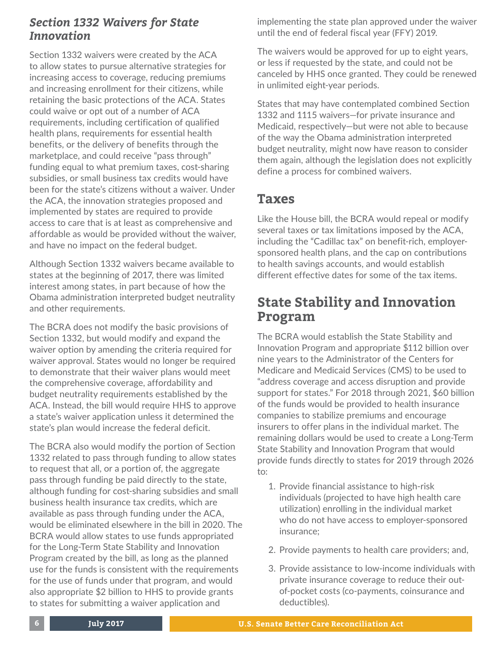#### *Section 1332 Waivers for State Innovation*

Section 1332 waivers were created by the ACA to allow states to pursue alternative strategies for increasing access to coverage, reducing premiums and increasing enrollment for their citizens, while retaining the basic protections of the ACA. States could waive or opt out of a number of ACA requirements, including certification of qualified health plans, requirements for essential health benefits, or the delivery of benefits through the marketplace, and could receive "pass through" funding equal to what premium taxes, cost-sharing subsidies, or small business tax credits would have been for the state's citizens without a waiver. Under the ACA, the innovation strategies proposed and implemented by states are required to provide access to care that is at least as comprehensive and affordable as would be provided without the waiver, and have no impact on the federal budget.

Although Section 1332 waivers became available to states at the beginning of 2017, there was limited interest among states, in part because of how the Obama administration interpreted budget neutrality and other requirements.

The BCRA does not modify the basic provisions of Section 1332, but would modify and expand the waiver option by amending the criteria required for waiver approval. States would no longer be required to demonstrate that their waiver plans would meet the comprehensive coverage, affordability and budget neutrality requirements established by the ACA. Instead, the bill would require HHS to approve a state's waiver application unless it determined the state's plan would increase the federal deficit.

The BCRA also would modify the portion of Section 1332 related to pass through funding to allow states to request that all, or a portion of, the aggregate pass through funding be paid directly to the state, although funding for cost-sharing subsidies and small business health insurance tax credits, which are available as pass through funding under the ACA, would be eliminated elsewhere in the bill in 2020. The BCRA would allow states to use funds appropriated for the Long-Term State Stability and Innovation Program created by the bill, as long as the planned use for the funds is consistent with the requirements for the use of funds under that program, and would also appropriate \$2 billion to HHS to provide grants to states for submitting a waiver application and

implementing the state plan approved under the waiver until the end of federal fiscal year (FFY) 2019.

The waivers would be approved for up to eight years, or less if requested by the state, and could not be canceled by HHS once granted. They could be renewed in unlimited eight-year periods.

States that may have contemplated combined Section 1332 and 1115 waivers—for private insurance and Medicaid, respectively—but were not able to because of the way the Obama administration interpreted budget neutrality, might now have reason to consider them again, although the legislation does not explicitly define a process for combined waivers.

# **Taxes**

Like the House bill, the BCRA would repeal or modify several taxes or tax limitations imposed by the ACA, including the "Cadillac tax" on benefit-rich, employersponsored health plans, and the cap on contributions to health savings accounts, and would establish different effective dates for some of the tax items.

# **State Stability and Innovation Program**

The BCRA would establish the State Stability and Innovation Program and appropriate \$112 billion over nine years to the Administrator of the Centers for Medicare and Medicaid Services (CMS) to be used to "address coverage and access disruption and provide support for states." For 2018 through 2021, \$60 billion of the funds would be provided to health insurance companies to stabilize premiums and encourage insurers to offer plans in the individual market. The remaining dollars would be used to create a Long-Term State Stability and Innovation Program that would provide funds directly to states for 2019 through 2026 to:

- 1. Provide financial assistance to high-risk individuals (projected to have high health care utilization) enrolling in the individual market who do not have access to employer-sponsored insurance;
- 2. Provide payments to health care providers; and,
- 3. Provide assistance to low-income individuals with private insurance coverage to reduce their outof-pocket costs (co-payments, coinsurance and deductibles).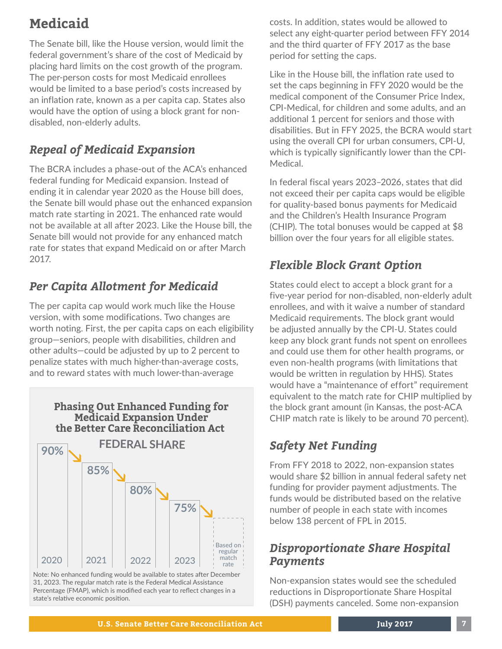# **Medicaid**

The Senate bill, like the House version, would limit the federal government's share of the cost of Medicaid by placing hard limits on the cost growth of the program. The per-person costs for most Medicaid enrollees would be limited to a base period's costs increased by an inflation rate, known as a per capita cap. States also would have the option of using a block grant for nondisabled, non-elderly adults.

# *Repeal of Medicaid Expansion*

The BCRA includes a phase-out of the ACA's enhanced federal funding for Medicaid expansion. Instead of ending it in calendar year 2020 as the House bill does, the Senate bill would phase out the enhanced expansion match rate starting in 2021. The enhanced rate would not be available at all after 2023. Like the House bill, the Senate bill would not provide for any enhanced match rate for states that expand Medicaid on or after March 2017.

# *Per Capita Allotment for Medicaid*

The per capita cap would work much like the House version, with some modifications. Two changes are worth noting. First, the per capita caps on each eligibility group—seniors, people with disabilities, children and other adults—could be adjusted by up to 2 percent to penalize states with much higher-than-average costs, and to reward states with much lower-than-average





Note: No enhanced funding would be available to states after December 31, 2023. The regular match rate is the Federal Medical Assistance Percentage (FMAP), which is modified each year to reflect changes in a state's relative economic position.

costs. In addition, states would be allowed to select any eight-quarter period between FFY 2014 and the third quarter of FFY 2017 as the base period for setting the caps.

Like in the House bill, the inflation rate used to set the caps beginning in FFY 2020 would be the medical component of the Consumer Price Index, CPI-Medical, for children and some adults, and an additional 1 percent for seniors and those with disabilities. But in FFY 2025, the BCRA would start using the overall CPI for urban consumers, CPI-U, which is typically significantly lower than the CPI-Medical.

In federal fiscal years 2023–2026, states that did not exceed their per capita caps would be eligible for quality-based bonus payments for Medicaid and the Children's Health Insurance Program (CHIP). The total bonuses would be capped at \$8 billion over the four years for all eligible states.

### *Flexible Block Grant Option*

States could elect to accept a block grant for a five-year period for non-disabled, non-elderly adult enrollees, and with it waive a number of standard Medicaid requirements. The block grant would be adjusted annually by the CPI-U. States could keep any block grant funds not spent on enrollees and could use them for other health programs, or even non-health programs (with limitations that would be written in regulation by HHS). States would have a "maintenance of effort" requirement equivalent to the match rate for CHIP multiplied by the block grant amount (in Kansas, the post-ACA CHIP match rate is likely to be around 70 percent).

## *Safety Net Funding*

From FFY 2018 to 2022, non-expansion states would share \$2 billion in annual federal safety net funding for provider payment adjustments. The funds would be distributed based on the relative number of people in each state with incomes below 138 percent of FPL in 2015.

#### *Disproportionate Share Hospital Payments*

Non-expansion states would see the scheduled reductions in Disproportionate Share Hospital (DSH) payments canceled. Some non-expansion